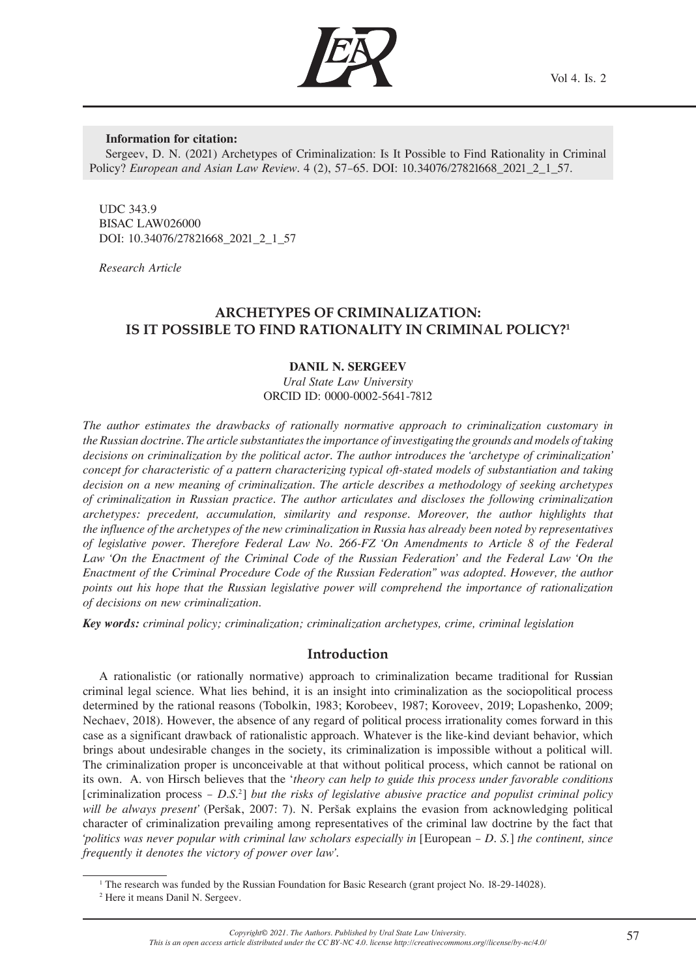

### **Information for citation:**

Sergeev, D. N. (2021) Archetypes of Criminalization: Is It Possible to Find Rationality in Criminal Policy? *European and Asian Law Review.* 4 (2), 57–65. DOI: 10.34076/27821668\_2021\_2\_1\_57.

UDC 343.9 BISAC LAW026000 DOI: 10.34076/27821668\_2021\_2\_1\_57

*Research Article*

# **ARCHETYPES OF CRIMINALIZATION: IS IT POSSIBLE TO FIND RATIONALITY IN CRIMINAL POLICY?1**

## **DANIL N. SERGEEV**

*Ural State Law University*  ORCID ID: 0000-0002-5641-7812

*The author estimates the drawbacks of rationally normative approach to criminalization customary in the Russian doctrine. The article substantiates the importance of investigating the grounds and models of taking decisions on criminalization by the political actor. The author introduces the 'archetype of criminalization' concept for characteristic of a pattern characterizing typical oft-stated models of substantiation and taking decision on a new meaning of criminalization. The article describes a methodology of seeking archetypes of criminalization in Russian practice. The author articulates and discloses the following criminalization archetypes: precedent, accumulation, similarity and response. Moreover, the author highlights that the influence of the archetypes of the new criminalization in Russia has already been noted by representatives of legislative power. Therefore Federal Law No. 266-FZ 'On Amendments to Article 8 of the Federal*  Law 'On the Enactment of the Criminal Code of the Russian Federation' and the Federal Law 'On the *Enactment of the Criminal Procedure Code of the Russian Federation'' was adopted. However, the author points out his hope that the Russian legislative power will comprehend the importance of rationalization of decisions on new criminalization.*

*Key words: criminal policy; criminalization; criminalization archetypes, crime, criminal legislation*

## **Introduction**

A rationalistic (or rationally normative) approach to criminalization became traditional for Rus**s**ian criminal legal science. What lies behind, it is an insight into criminalization as the sociopolitical process determined by the rational reasons (Tobolkin, 1983; Korobeev, 1987; Koroveev, 2019; Lopashenko, 2009; Nechaev, 2018). However, the absence of any regard of political process irrationality comes forward in this case as a significant drawback of rationalistic approach. Whatever is the like-kind deviant behavior, which brings about undesirable changes in the society, its criminalization is impossible without a political will. The criminalization proper is unconceivable at that without political process, which cannot be rational on its own. A. von Hirsch believes that the '*theory can help to guide this process under favorable conditions* [criminalization process – *D.S.*<sup>2</sup> ] *but the risks of legislative abusive practice and populist criminal policy will be always present'* (Peršak, 2007: 7). N. Peršak explains the evasion from acknowledging political character of criminalization prevailing among representatives of the criminal law doctrine by the fact that *'politics was never popular with criminal law scholars especially in* [European – *D. S.*] *the continent, since frequently it denotes the victory of power over law'.*

<sup>&</sup>lt;sup>1</sup> The research was funded by the Russian Foundation for Basic Research (grant project No. 18-29-14028).

<sup>2</sup> Here it means Danil N. Sergeev.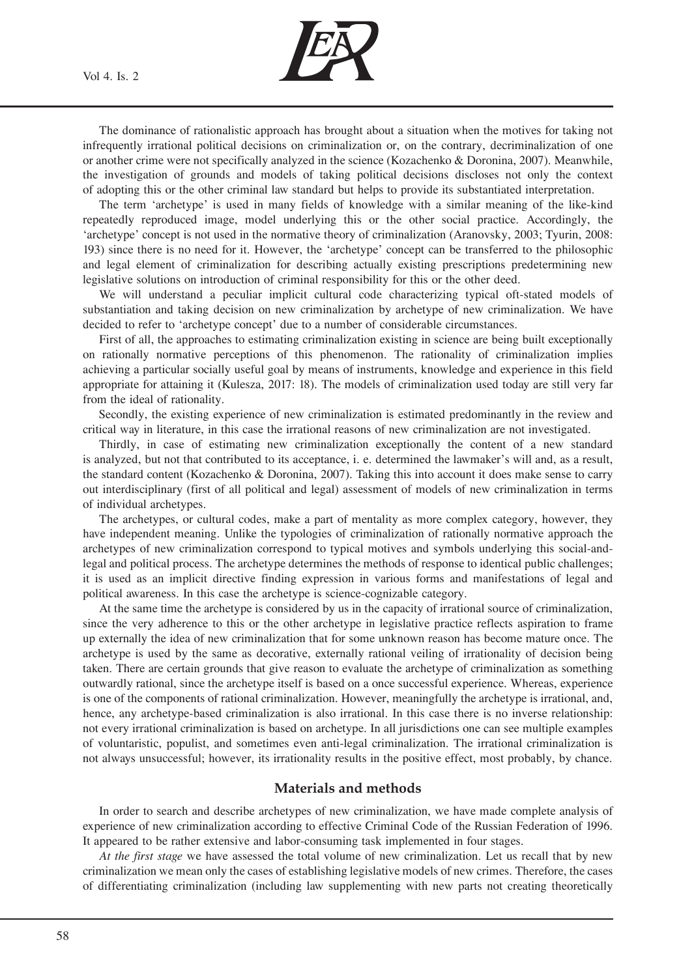Vol 4. Is. 2



The dominance of rationalistic approach has brought about a situation when the motives for taking not infrequently irrational political decisions on criminalization or, on the contrary, decriminalization of one or another crime were not specifically analyzed in the science (Kozachenko & Doronina, 2007). Meanwhile, the investigation of grounds and models of taking political decisions discloses not only the context of adopting this or the other criminal law standard but helps to provide its substantiated interpretation.

The term 'archetype' is used in many fields of knowledge with a similar meaning of the like-kind repeatedly reproduced image, model underlying this or the other social practice. Accordingly, the 'archetype' concept is not used in the normative theory of criminalization (Aranovsky, 2003; Tyurin, 2008: 193) since there is no need for it. However, the 'archetype' concept can be transferred to the philosophic and legal element of criminalization for describing actually existing prescriptions predetermining new legislative solutions on introduction of criminal responsibility for this or the other deed.

We will understand a peculiar implicit cultural code characterizing typical oft-stated models of substantiation and taking decision on new criminalization by archetype of new criminalization. We have decided to refer to 'archetype concept' due to a number of considerable circumstances.

First of all, the approaches to estimating criminalization existing in science are being built exceptionally on rationally normative perceptions of this phenomenon. The rationality of criminalization implies achieving a particular socially useful goal by means of instruments, knowledge and experience in this field appropriate for attaining it (Kulesza, 2017: 18). The models of criminalization used today are still very far from the ideal of rationality.

Secondly, the existing experience of new criminalization is estimated predominantly in the review and critical way in literature, in this case the irrational reasons of new criminalization are not investigated.

Thirdly, in case of estimating new criminalization exceptionally the content of a new standard is analyzed, but not that contributed to its acceptance, i. e. determined the lawmaker's will and, as a result, the standard content (Kozachenko & Doronina, 2007). Taking this into account it does make sense to carry out interdisciplinary (first of all political and legal) assessment of models of new criminalization in terms of individual archetypes.

The archetypes, or cultural codes, make a part of mentality as more complex category, however, they have independent meaning. Unlike the typologies of criminalization of rationally normative approach the archetypes of new criminalization correspond to typical motives and symbols underlying this social-andlegal and political process. The archetype determines the methods of response to identical public challenges; it is used as an implicit directive finding expression in various forms and manifestations of legal and political awareness. In this case the archetype is science-cognizable category.

At the same time the archetype is considered by us in the capacity of irrational source of criminalization, since the very adherence to this or the other archetype in legislative practice reflects aspiration to frame up externally the idea of new criminalization that for some unknown reason has become mature once. The archetype is used by the same as decorative, externally rational veiling of irrationality of decision being taken. There are certain grounds that give reason to evaluate the archetype of criminalization as something outwardly rational, since the archetype itself is based on a once successful experience. Whereas, experience is one of the components of rational criminalization. However, meaningfully the archetype is irrational, and, hence, any archetype-based criminalization is also irrational. In this case there is no inverse relationship: not every irrational criminalization is based on archetype. In all jurisdictions one can see multiple examples of voluntaristic, populist, and sometimes even anti-legal criminalization. The irrational criminalization is not always unsuccessful; however, its irrationality results in the positive effect, most probably, by chance.

## **Materials and methods**

In order to search and describe archetypes of new criminalization, we have made complete analysis of experience of new criminalization according to effective Criminal Code of the Russian Federation of 1996. It appeared to be rather extensive and labor-consuming task implemented in four stages.

*At the first stage* we have assessed the total volume of new criminalization. Let us recall that by new criminalization we mean only the cases of establishing legislative models of new crimes. Therefore, the cases of differentiating criminalization (including law supplementing with new parts not creating theoretically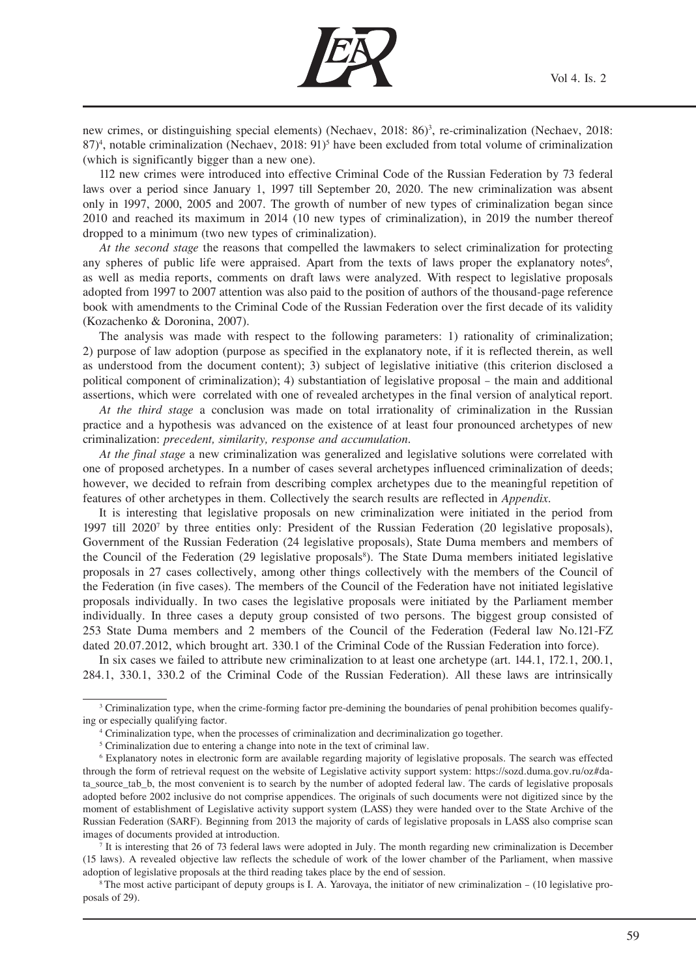

new crimes, or distinguishing special elements) (Nechaev, 2018: 86)<sup>3</sup>, re-criminalization (Nechaev, 2018:  $87$ <sup>4</sup>, notable criminalization (Nechaev, 2018: 91)<sup>5</sup> have been excluded from total volume of criminalization (which is significantly bigger than a new one).

112 new crimes were introduced into effective Criminal Code of the Russian Federation by 73 federal laws over a period since January 1, 1997 till September 20, 2020. The new criminalization was absent only in 1997, 2000, 2005 and 2007. The growth of number of new types of criminalization began since 2010 and reached its maximum in 2014 (10 new types of criminalization), in 2019 the number thereof dropped to a minimum (two new types of criminalization).

*At the second stage* the reasons that compelled the lawmakers to select criminalization for protecting any spheres of public life were appraised. Apart from the texts of laws proper the explanatory notes<sup>6</sup>, as well as media reports, comments on draft laws were analyzed. With respect to legislative proposals adopted from 1997 to 2007 attention was also paid to the position of authors of the thousand-page reference book with amendments to the Criminal Code of the Russian Federation over the first decade of its validity (Kozachenko & Doronina, 2007).

The analysis was made with respect to the following parameters: 1) rationality of criminalization; 2) purpose of law adoption (purpose as specified in the explanatory note, if it is reflected therein, as well as understood from the document content); 3) subject of legislative initiative (this criterion disclosed a political component of criminalization); 4) substantiation of legislative proposal – the main and additional assertions, which were correlated with one of revealed archetypes in the final version of analytical report.

*At the third stage* a conclusion was made on total irrationality of criminalization in the Russian practice and a hypothesis was advanced on the existence of at least four pronounced archetypes of new criminalization: *precedent, similarity, response and accumulation.*

*At the final stage* a new criminalization was generalized and legislative solutions were correlated with one of proposed archetypes. In a number of cases several archetypes influenced criminalization of deeds; however, we decided to refrain from describing complex archetypes due to the meaningful repetition of features of other archetypes in them. Collectively the search results are reflected in *Appendix*.

It is interesting that legislative proposals on new criminalization were initiated in the period from 1997 till 2020<sup>7</sup> by three entities only: President of the Russian Federation (20 legislative proposals), Government of the Russian Federation (24 legislative proposals), State Duma members and members of the Council of the Federation (29 legislative proposals<sup>8</sup>). The State Duma members initiated legislative proposals in 27 cases collectively, among other things collectively with the members of the Council of the Federation (in five cases). The members of the Council of the Federation have not initiated legislative proposals individually. In two cases the legislative proposals were initiated by the Parliament member individually. In three cases a deputy group consisted of two persons. The biggest group consisted of 253 State Duma members and 2 members of the Council of the Federation (Federal law No.121-FZ dated 20.07.2012, which brought art. 330.1 of the Criminal Code of the Russian Federation into force).

In six cases we failed to attribute new criminalization to at least one archetype (art. 144.1, 172.1, 200.1, 284.1, 330.1, 330.2 of the Criminal Code of the Russian Federation). All these laws are intrinsically

7 It is interesting that 26 of 73 federal laws were adopted in July. The month regarding new criminalization is December (15 laws). A revealed objective law reflects the schedule of work of the lower chamber of the Parliament, when massive adoption of legislative proposals at the third reading takes place by the end of session.

8 The most active participant of deputy groups is I. А. Yarovaya, the initiator of new criminalization – (10 legislative proposals of 29).

<sup>&</sup>lt;sup>3</sup> Criminalization type, when the crime-forming factor pre-demining the boundaries of penal prohibition becomes qualifying or especially qualifying factor.

<sup>4</sup> Criminalization type, when the processes of criminalization and decriminalization go together.

<sup>&</sup>lt;sup>5</sup> Criminalization due to entering a change into note in the text of criminal law.

<sup>6</sup> Explanatory notes in electronic form are available regarding majority of legislative proposals. The search was effected through the form of retrieval request on the website of Legislative activity support system: https://sozd.duma.gov.ru/oz#data\_source\_tab\_b, the most convenient is to search by the number of adopted federal law. The cards of legislative proposals adopted before 2002 inclusive do not comprise appendices. The originals of such documents were not digitized since by the moment of establishment of Legislative activity support system (LASS) they were handed over to the State Archive of the Russian Federation (SARF). Beginning from 2013 the majority of cards of legislative proposals in LASS also comprise scan images of documents provided at introduction.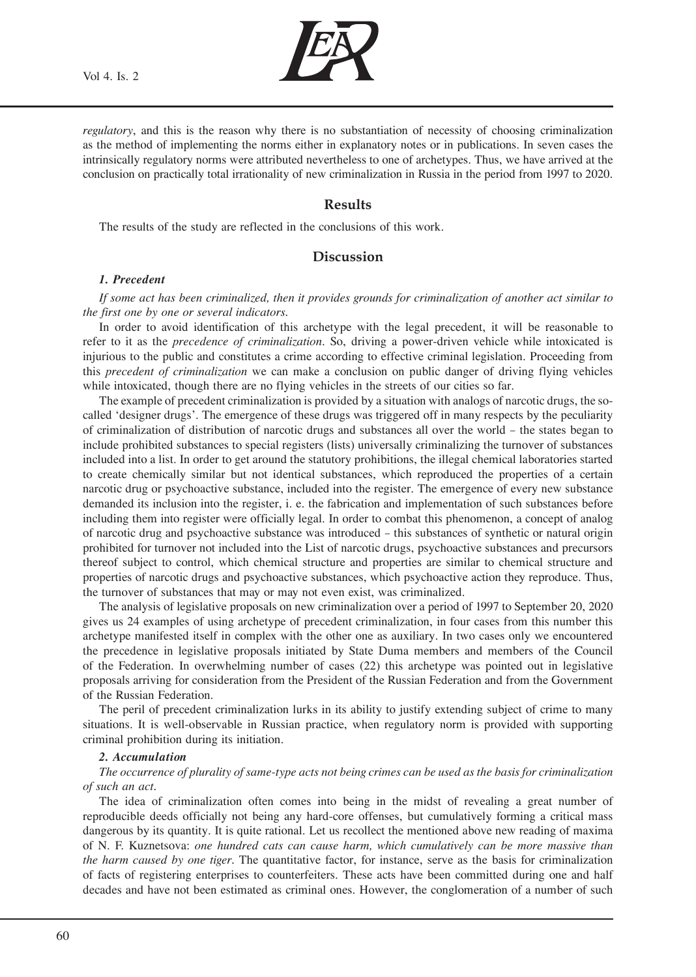

*regulatory*, and this is the reason why there is no substantiation of necessity of choosing criminalization as the method of implementing the norms either in explanatory notes or in publications. In seven cases the intrinsically regulatory norms were attributed nevertheless to one of archetypes. Thus, we have arrived at the conclusion on practically total irrationality of new criminalization in Russia in the period from 1997 to 2020.

# **Results**

The results of the study are reflected in the conclusions of this work.

## **Discussion**

#### *1. Precedent*

*If some act has been criminalized, then it provides grounds for criminalization of another act similar to the first one by one or several indicators.*

In order to avoid identification of this archetype with the legal precedent, it will be reasonable to refer to it as the *precedence of criminalization*. So, driving a power-driven vehicle while intoxicated is injurious to the public and constitutes a crime according to effective criminal legislation. Proceeding from this *precedent of criminalization* we can make a conclusion on public danger of driving flying vehicles while intoxicated, though there are no flying vehicles in the streets of our cities so far.

The example of precedent criminalization is provided by a situation with analogs of narcotic drugs, the socalled 'designer drugs'. The emergence of these drugs was triggered off in many respects by the peculiarity of criminalization of distribution of narcotic drugs and substances all over the world – the states began to include prohibited substances to special registers (lists) universally criminalizing the turnover of substances included into a list. In order to get around the statutory prohibitions, the illegal chemical laboratories started to create chemically similar but not identical substances, which reproduced the properties of a certain narcotic drug or psychoactive substance, included into the register. The emergence of every new substance demanded its inclusion into the register, i. e. the fabrication and implementation of such substances before including them into register were officially legal. In order to combat this phenomenon, a concept of analog of narcotic drug and psychoactive substance was introduced – this substances of synthetic or natural origin prohibited for turnover not included into the List of narcotic drugs, psychoactive substances and precursors thereof subject to control, which chemical structure and properties are similar to chemical structure and properties of narcotic drugs and psychoactive substances, which psychoactive action they reproduce. Thus, the turnover of substances that may or may not even exist, was criminalized.

The analysis of legislative proposals on new criminalization over a period of 1997 to September 20, 2020 gives us 24 examples of using archetype of precedent criminalization, in four cases from this number this archetype manifested itself in complex with the other one as auxiliary. In two cases only we encountered the precedence in legislative proposals initiated by State Duma members and members of the Council of the Federation. In overwhelming number of cases (22) this archetype was pointed out in legislative proposals arriving for consideration from the President of the Russian Federation and from the Government of the Russian Federation.

The peril of precedent criminalization lurks in its ability to justify extending subject of crime to many situations. It is well-observable in Russian practice, when regulatory norm is provided with supporting criminal prohibition during its initiation.

#### *2. Accumulation*

*The occurrence of plurality of same-type acts not being crimes can be used as the basis for criminalization of such an act.*

The idea of criminalization often comes into being in the midst of revealing a great number of reproducible deeds officially not being any hard-core offenses, but cumulatively forming a critical mass dangerous by its quantity. It is quite rational. Let us recollect the mentioned above new reading of maxima of N. F. Kuznetsova: *one hundred cats can cause harm, which cumulatively can be more massive than the harm caused by one tiger.* The quantitative factor, for instance, serve as the basis for criminalization of facts of registering enterprises to counterfeiters. These acts have been committed during one and half decades and have not been estimated as criminal ones. However, the conglomeration of a number of such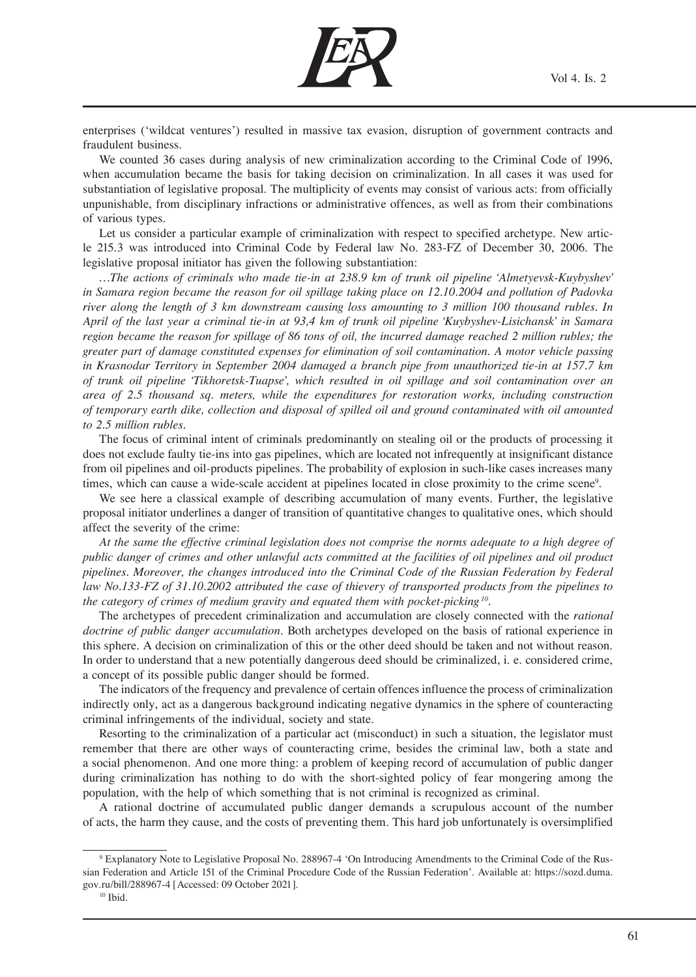

enterprises ('wildcat ventures') resulted in massive tax evasion, disruption of government contracts and fraudulent business.

We counted 36 cases during analysis of new criminalization according to the Criminal Code of 1996, when accumulation became the basis for taking decision on criminalization. In all cases it was used for substantiation of legislative proposal. The multiplicity of events may consist of various acts: from officially unpunishable, from disciplinary infractions or administrative offences, as well as from their combinations of various types.

Let us consider a particular example of criminalization with respect to specified archetype. New article 215.3 was introduced into Criminal Code by Federal law No. 283-FZ of December 30, 2006. The legislative proposal initiator has given the following substantiation:

*…The actions of criminals who made tie-in at 238.9 km of trunk oil pipeline 'Almetyevsk-Kuybyshev' in Samara region became the reason for oil spillage taking place on 12.10.2004 and pollution of Padovka river along the length of 3 km downstream causing loss amounting to 3 million 100 thousand rubles. In April of the last year a criminal tie-in at 93,4 km of trunk oil pipeline 'Kuybyshev-Lisichansk' in Samara region became the reason for spillage of 86 tons of oil, the incurred damage reached 2 million rubles; the greater part of damage constituted expenses for elimination of soil contamination. A motor vehicle passing in Krasnodar Territory in September 2004 damaged a branch pipe from unauthorized tie-in at 157.7 km of trunk oil pipeline 'Tikhoretsk-Tuapse', which resulted in oil spillage and soil contamination over an area of 2.5 thousand sq. meters, while the expenditures for restoration works, including construction of temporary earth dike, collection and disposal of spilled oil and ground contaminated with oil amounted to 2.5 million rubles.* 

The focus of criminal intent of criminals predominantly on stealing oil or the products of processing it does not exclude faulty tie-ins into gas pipelines, which are located not infrequently at insignificant distance from oil pipelines and oil-products pipelines. The probability of explosion in such-like cases increases many times, which can cause a wide-scale accident at pipelines located in close proximity to the crime scene9 .

We see here a classical example of describing accumulation of many events. Further, the legislative proposal initiator underlines a danger of transition of quantitative changes to qualitative ones, which should affect the severity of the crime:

*At the same the effective criminal legislation does not comprise the norms adequate to a high degree of public danger of crimes and other unlawful acts committed at the facilities of oil pipelines and oil product pipelines. Moreover, the changes introduced into the Criminal Code of the Russian Federation by Federal law No.133-FZ of 31.10.2002 attributed the case of thievery of transported products from the pipelines to the category of crimes of medium gravity and equated them with pocket-picking 10.* 

The archetypes of precedent criminalization and accumulation are closely connected with the *rational doctrine of public danger accumulation*. Both archetypes developed on the basis of rational experience in this sphere. A decision on criminalization of this or the other deed should be taken and not without reason. In order to understand that a new potentially dangerous deed should be criminalized, i. e. considered crime, a concept of its possible public danger should be formed.

The indicators of the frequency and prevalence of certain offences influence the process of criminalization indirectly only, act as a dangerous background indicating negative dynamics in the sphere of counteracting criminal infringements of the individual, society and state.

Resorting to the criminalization of a particular act (misconduct) in such a situation, the legislator must remember that there are other ways of counteracting crime, besides the criminal law, both a state and a social phenomenon. And one more thing: a problem of keeping record of accumulation of public danger during criminalization has nothing to do with the short-sighted policy of fear mongering among the population, with the help of which something that is not criminal is recognized as criminal.

A rational doctrine of accumulated public danger demands a scrupulous account of the number of acts, the harm they cause, and the costs of preventing them. This hard job unfortunately is oversimplified

<sup>9</sup> Explanatory Note to Legislative Proposal No. 288967-4 'On Introducing Amendments to the Criminal Code of the Russian Federation and Article 151 of the Criminal Procedure Code of the Russian Federation'. Available at: https://sozd.duma. gov.ru/bill/288967-4 [Accessed: 09 October 2021].

 $^{10}$  Ibid.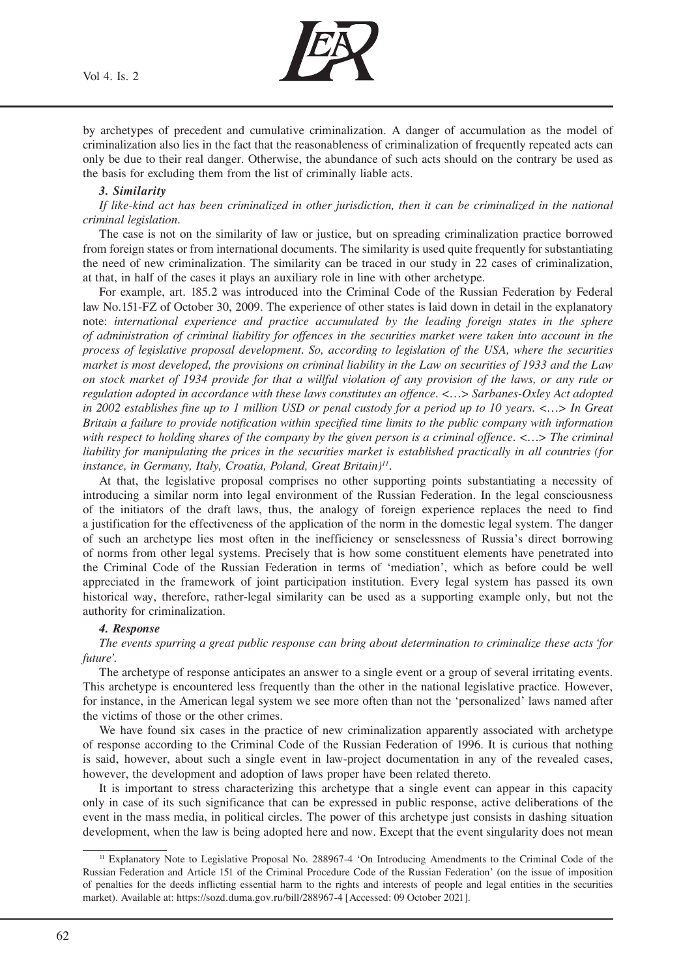Vol 4. Is. 2



by archetypes of precedent and cumulative criminalization. A danger of accumulation as the model of criminalization also lies in the fact that the reasonableness of criminalization of frequently repeated acts can only be due to their real danger. Otherwise, the abundance of such acts should on the contrary be used as the basis for excluding them from the list of criminally liable acts.

### *3. Similarity*

*If like-kind act has been criminalized in other jurisdiction, then it can be criminalized in the national criminal legislation.*

The case is not on the similarity of law or justice, but on spreading criminalization practice borrowed from foreign states or from international documents. The similarity is used quite frequently for substantiating the need of new criminalization. The similarity can be traced in our study in 22 cases of criminalization, at that, in half of the cases it plays an auxiliary role in line with other archetype.

For example, art. 185.2 was introduced into the Criminal Code of the Russian Federation by Federal law No.151-FZ of October 30, 2009. The experience of other states is laid down in detail in the explanatory note: *international experience and practice accumulated by the leading foreign states in the sphere of administration of criminal liability for offences in the securities market were taken into account in the process of legislative proposal development. So, according to legislation of the USA, where the securities market is most developed, the provisions on criminal liability in the Law on securities of 1933 and the Law on stock market of 1934 provide for that a willful violation of any provision of the laws, or any rule or regulation adopted in accordance with these laws constitutes an offence. <…> Sarbanes-Oxley Act adopted in 2002 establishes fine up to 1 million USD or penal custody for a period up to 10 years. <…> In Great Britain a failure to provide notification within specified time limits to the public company with information with respect to holding shares of the company by the given person is a criminal offence. <…> The criminal liability for manipulating the prices in the securities market is established practically in all countries (for instance, in Germany, Italy, Croatia, Poland, Great Britain)11.*

At that, the legislative proposal comprises no other supporting points substantiating a necessity of introducing a similar norm into legal environment of the Russian Federation. In the legal consciousness of the initiators of the draft laws, thus, the analogy of foreign experience replaces the need to find a justification for the effectiveness of the application of the norm in the domestic legal system. The danger of such an archetype lies most often in the inefficiency or senselessness of Russia's direct borrowing of norms from other legal systems. Precisely that is how some constituent elements have penetrated into the Criminal Code of the Russian Federation in terms of 'mediation', which as before could be well appreciated in the framework of joint participation institution. Every legal system has passed its own historical way, therefore, rather-legal similarity can be used as a supporting example only, but not the authority for criminalization.

### *4. Response*

*The events spurring a great public response can bring about determination to criminalize these acts 'for future'.*

The archetype of response anticipates an answer to a single event or a group of several irritating events. This archetype is encountered less frequently than the other in the national legislative practice. However, for instance, in the American legal system we see more often than not the 'personalized' laws named after the victims of those or the other crimes.

We have found six cases in the practice of new criminalization apparently associated with archetype of response according to the Criminal Code of the Russian Federation of 1996. It is curious that nothing is said, however, about such a single event in law-project documentation in any of the revealed cases, however, the development and adoption of laws proper have been related thereto.

It is important to stress characterizing this archetype that a single event can appear in this capacity only in case of its such significance that can be expressed in public response, active deliberations of the event in the mass media, in political circles. The power of this archetype just consists in dashing situation development, when the law is being adopted here and now. Except that the event singularity does not mean

<sup>11</sup> Explanatory Note to Legislative Proposal No. 288967-4 'On Introducing Amendments to the Criminal Code of the Russian Federation and Article 151 of the Criminal Procedure Code of the Russian Federation' (on the issue of imposition of penalties for the deeds inflicting essential harm to the rights and interests of people and legal entities in the securities market). Available at: https://sozd.duma.gov.ru/bill/288967-4 [Accessed: 09 October 2021].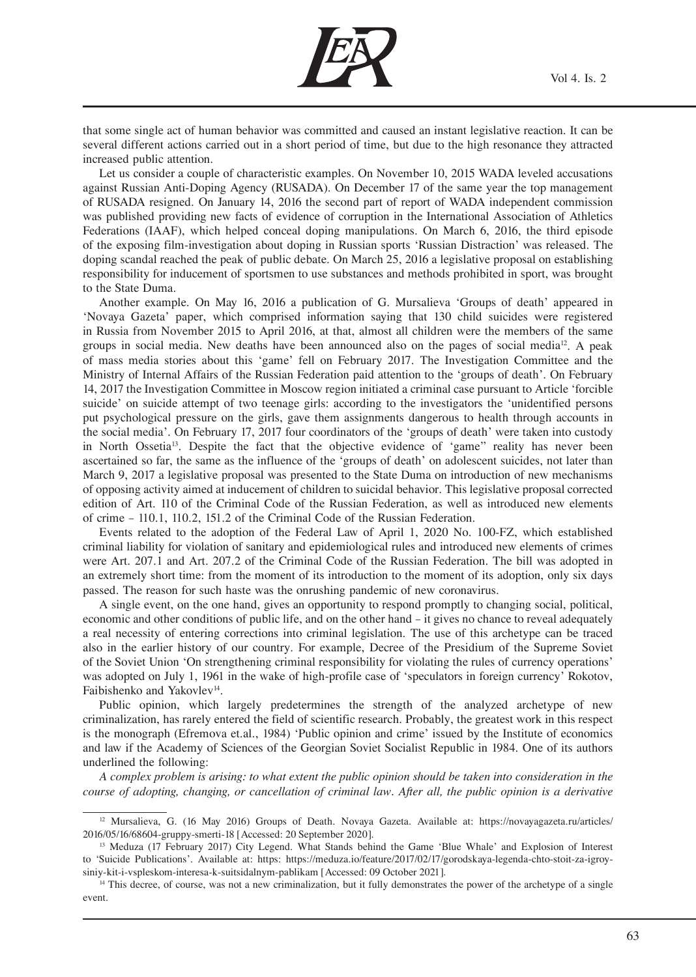

that some single act of human behavior was committed and caused an instant legislative reaction. It can be several different actions carried out in a short period of time, but due to the high resonance they attracted increased public attention.

Let us consider a couple of characteristic examples. On November 10, 2015 WADA leveled accusations against Russian Anti-Doping Agency (RUSADA). On December 17 of the same year the top management of RUSADA resigned. On January 14, 2016 the second part of report of WADA independent commission was published providing new facts of evidence of corruption in the International Association of Athletics Federations (IAAF), which helped conceal doping manipulations. On March 6, 2016, the third episode of the exposing film-investigation about doping in Russian sports 'Russian Distraction' was released. The doping scandal reached the peak of public debate. On March 25, 2016 a legislative proposal on establishing responsibility for inducement of sportsmen to use substances and methods prohibited in sport, was brought to the State Duma.

Another example. On May 16, 2016 a publication of G. Mursalieva 'Groups of death' appeared in 'Novaya Gazeta' paper, which comprised information saying that 130 child suicides were registered in Russia from November 2015 to April 2016, at that, almost all children were the members of the same groups in social media. New deaths have been announced also on the pages of social media<sup>12</sup>. A peak of mass media stories about this 'game' fell on February 2017. The Investigation Committee and the Ministry of Internal Affairs of the Russian Federation paid attention to the 'groups of death'. On February 14, 2017 the Investigation Committee in Moscow region initiated a criminal case pursuant to Article 'forcible suicide' on suicide attempt of two teenage girls: according to the investigators the 'unidentified persons put psychological pressure on the girls, gave them assignments dangerous to health through accounts in the social media'. On February 17, 2017 four coordinators of the 'groups of death' were taken into custody in North Ossetia<sup>13</sup>. Despite the fact that the objective evidence of 'game" reality has never been ascertained so far, the same as the influence of the 'groups of death' on adolescent suicides, not later than March 9, 2017 a legislative proposal was presented to the State Duma on introduction of new mechanisms of opposing activity aimed at inducement of children to suicidal behavior. This legislative proposal corrected edition of Art. 110 of the Criminal Code of the Russian Federation, as well as introduced new elements of crime – 110.1, 110.2, 151.2 of the Criminal Code of the Russian Federation.

Events related to the adoption of the Federal Law of April 1, 2020 No. 100-FZ, which established criminal liability for violation of sanitary and epidemiological rules and introduced new elements of crimes were Art. 207.1 and Art. 207.2 of the Criminal Code of the Russian Federation. The bill was adopted in an extremely short time: from the moment of its introduction to the moment of its adoption, only six days passed. The reason for such haste was the onrushing pandemic of new coronavirus.

A single event, on the one hand, gives an opportunity to respond promptly to changing social, political, economic and other conditions of public life, and on the other hand – it gives no chance to reveal adequately a real necessity of entering corrections into criminal legislation. The use of this archetype can be traced also in the earlier history of our country. For example, Decree of the Presidium of the Supreme Soviet of the Soviet Union 'On strengthening criminal responsibility for violating the rules of currency operations' was adopted on July 1, 1961 in the wake of high-profile case of 'speculators in foreign currency' Rokotov, Faibishenko and Yakovlev<sup>14</sup>.

Public opinion, which largely predetermines the strength of the analyzed archetype of new criminalization, has rarely entered the field of scientific research. Probably, the greatest work in this respect is the monograph (Efremova et.al., 1984) 'Public opinion and crime' issued by the Institute of economics and law if the Academy of Sciences of the Georgian Soviet Socialist Republic in 1984. One of its authors underlined the following:

*A complex problem is arising: to what extent the public opinion should be taken into consideration in the course of adopting, changing, or cancellation of criminal law. After all, the public opinion is a derivative* 

<sup>&</sup>lt;sup>12</sup> Mursalieva, G. (16 May 2016) Groups of Death. Novaya Gazeta. Available at: https://novayagazeta.ru/articles/ 2016/05/16/68604-gruppy-smerti-18 [Accessed: 20 September 2020].

<sup>&</sup>lt;sup>13</sup> Meduza (17 February 2017) City Legend. What Stands behind the Game 'Blue Whale' and Explosion of Interest to 'Suicide Publications'. Available at: https: https://meduza.io/feature/2017/02/17/gorodskaya-legenda-chto-stoit-za-igroysiniy-kit-i-vspleskom-interesa-k-suitsidalnym-pablikam [Accessed: 09 October 2021].<br><sup>14</sup> This decree, of course, was not a new criminalization, but it fully demonstrates the power of the archetype of a single

event.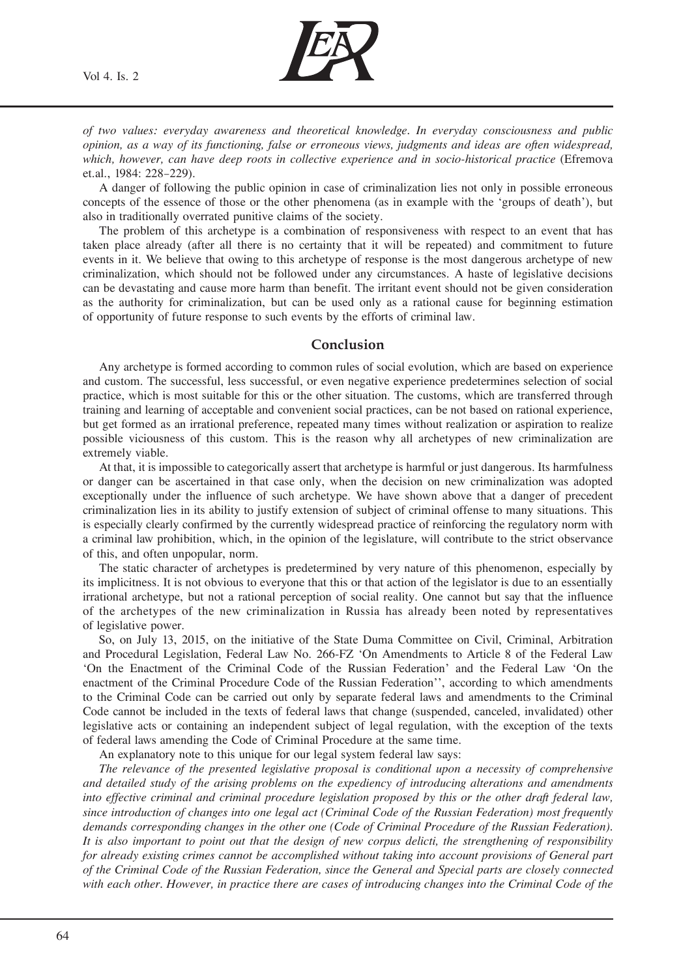

*of two values: everyday awareness and theoretical knowledge. In everyday consciousness and public opinion, as a way of its functioning, false or erroneous views, judgments and ideas are often widespread, which, however, can have deep roots in collective experience and in socio-historical practice* (Efremova et.al., 1984: 228–229).

A danger of following the public opinion in case of criminalization lies not only in possible erroneous concepts of the essence of those or the other phenomena (as in example with the 'groups of death'), but also in traditionally overrated punitive claims of the society.

The problem of this archetype is a combination of responsiveness with respect to an event that has taken place already (after all there is no certainty that it will be repeated) and commitment to future events in it. We believe that owing to this archetype of response is the most dangerous archetype of new criminalization, which should not be followed under any circumstances. A haste of legislative decisions can be devastating and cause more harm than benefit. The irritant event should not be given consideration as the authority for criminalization, but can be used only as a rational cause for beginning estimation of opportunity of future response to such events by the efforts of criminal law.

### **Conclusion**

Any archetype is formed according to common rules of social evolution, which are based on experience and custom. The successful, less successful, or even negative experience predetermines selection of social practice, which is most suitable for this or the other situation. The customs, which are transferred through training and learning of acceptable and convenient social practices, can be not based on rational experience, but get formed as an irrational preference, repeated many times without realization or aspiration to realize possible viciousness of this custom. This is the reason why all archetypes of new criminalization are extremely viable.

At that, it is impossible to categorically assert that archetype is harmful or just dangerous. Its harmfulness or danger can be ascertained in that case only, when the decision on new criminalization was adopted exceptionally under the influence of such archetype. We have shown above that a danger of precedent criminalization lies in its ability to justify extension of subject of criminal offense to many situations. This is especially clearly confirmed by the currently widespread practice of reinforcing the regulatory norm with a criminal law prohibition, which, in the opinion of the legislature, will contribute to the strict observance of this, and often unpopular, norm.

The static character of archetypes is predetermined by very nature of this phenomenon, especially by its implicitness. It is not obvious to everyone that this or that action of the legislator is due to an essentially irrational archetype, but not a rational perception of social reality. One cannot but say that the influence of the archetypes of the new criminalization in Russia has already been noted by representatives of legislative power.

So, on July 13, 2015, on the initiative of the State Duma Committee on Civil, Criminal, Arbitration and Procedural Legislation, Federal Law No. 266-FZ 'On Amendments to Article 8 of the Federal Law 'On the Enactment of the Criminal Code of the Russian Federation' and the Federal Law 'On the enactment of the Criminal Procedure Code of the Russian Federation'', according to which amendments to the Criminal Code can be carried out only by separate federal laws and amendments to the Criminal Code cannot be included in the texts of federal laws that change (suspended, canceled, invalidated) other legislative acts or containing an independent subject of legal regulation, with the exception of the texts of federal laws amending the Code of Criminal Procedure at the same time.

An explanatory note to this unique for our legal system federal law says:

*The relevance of the presented legislative proposal is conditional upon a necessity of comprehensive and detailed study of the arising problems on the expediency of introducing alterations and amendments into effective criminal and criminal procedure legislation proposed by this or the other draft federal law, since introduction of changes into one legal act (Criminal Code of the Russian Federation) most frequently demands corresponding changes in the other one (Code of Criminal Procedure of the Russian Federation). It is also important to point out that the design of new corpus delicti, the strengthening of responsibility for already existing crimes cannot be accomplished without taking into account provisions of General part of the Criminal Code of the Russian Federation, since the General and Special parts are closely connected with each other. However, in practice there are cases of introducing changes into the Criminal Code of the*